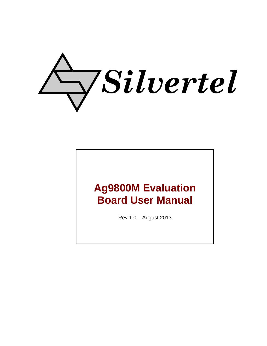

# **Ag9800M Evaluation Board User Manual**

Rev 1.0 – August 2013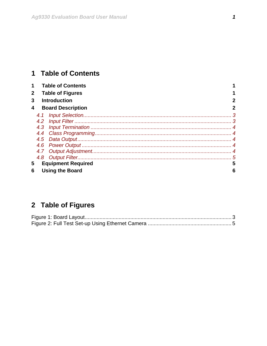# <span id="page-1-0"></span>1 Table of Contents

|                                |                         | <b>Table of Contents</b> |             |
|--------------------------------|-------------------------|--------------------------|-------------|
| $\mathbf{2}$                   | <b>Table of Figures</b> |                          |             |
| 3                              | <b>Introduction</b>     |                          |             |
| 4                              |                         | <b>Board Description</b> | $\mathbf 2$ |
|                                | 4.1                     |                          |             |
|                                |                         |                          |             |
|                                |                         |                          |             |
|                                |                         |                          |             |
|                                |                         |                          |             |
|                                |                         |                          |             |
|                                |                         |                          |             |
|                                |                         |                          |             |
| <b>Equipment Required</b><br>5 |                         |                          |             |
| <b>Using the Board</b><br>6    |                         |                          | 6           |

# 2 Table of Figures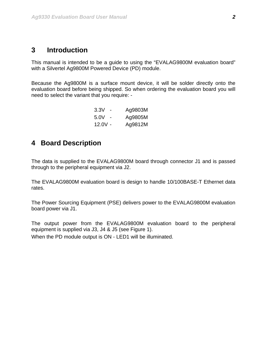### <span id="page-2-0"></span>**3 Introduction**

This manual is intended to be a guide to using the "EVALAG9800M evaluation board" with a Silvertel Ag9800M Powered Device (PD) module.

Because the Ag9800M is a surface mount device, it will be solder directly onto the evaluation board before being shipped. So when ordering the evaluation board you will need to select the variant that you require: -

| 3.3V    | Ag9803M |
|---------|---------|
| 5.0V    | Ag9805M |
| 12.0V - | Ag9812M |

# **4 Board Description**

The data is supplied to the EVALAG9800M board through connector J1 and is passed through to the peripheral equipment via J2.

The EVALAG9800M evaluation board is design to handle 10/100BASE-T Ethernet data rates.

The Power Sourcing Equipment (PSE) delivers power to the EVALAG9800M evaluation board power via J1.

The output power from the EVALAG9800M evaluation board to the peripheral equipment is supplied via J3, J4 & J5 (see [Figure 1](#page-3-1)). When the PD module output is ON - LED1 will be illuminated.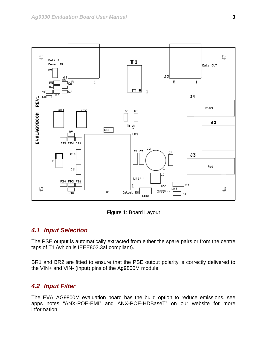<span id="page-3-0"></span>

Figure 1: Board Layout

#### <span id="page-3-1"></span>*4.1 Input Selection*

The PSE output is automatically extracted from either the spare pairs or from the centre taps of T1 (which is IEEE802.3af compliant).

BR1 and BR2 are fitted to ensure that the PSE output polarity is correctly delivered to the VIN+ and VIN- (input) pins of the Ag9800M module.

#### *4.2 Input Filter*

The EVALAG9800M evaluation board has the build option to reduce emissions, see apps notes "ANX-POE-EMI" and ANX-POE-HDBaseT" on our website for more information.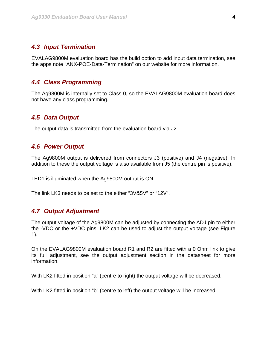#### <span id="page-4-0"></span>*4.3 Input Termination*

EVALAG9800M evaluation board has the build option to add input data termination, see the apps note "ANX-POE-Data-Termination" on our website for more information.

#### *4.4 Class Programming*

The Ag9800M is internally set to Class 0, so the EVALAG9800M evaluation board does not have any class programming.

#### *4.5 Data Output*

The output data is transmitted from the evaluation board via J2.

#### *4.6 Power Output*

The Ag9800M output is delivered from connectors J3 (positive) and J4 (negative). In addition to these the output voltage is also available from J5 (the centre pin is positive).

LED1 is illuminated when the Ag9800M output is ON.

The link LK3 needs to be set to the either "3V&5V" or "12V".

#### *4.7 Output Adjustment*

The output voltage of the Ag9800M can be adjusted by connecting the ADJ pin to either the -VDC or the +VDC pins. LK2 can be used to adjust the output voltage (see [Figure](#page-3-1)  [1\)](#page-3-1).

On the EVALAG9800M evaluation board R1 and R2 are fitted with a 0 Ohm link to give its full adjustment, see the output adjustment section in the datasheet for more information.

With LK2 fitted in position "a" (centre to right) the output voltage will be decreased.

With LK2 fitted in position "b" (centre to left) the output voltage will be increased.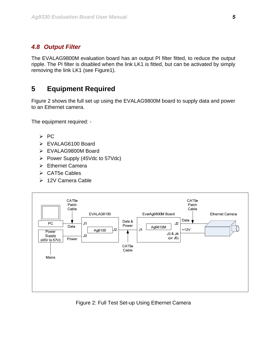#### <span id="page-5-0"></span>*4.8 Output Filter*

The EVALAG9800M evaluation board has an output PI filter fitted, to reduce the output ripple. The PI filter is disabled when the link LK1 is fitted, but can be activated by simply removing the link LK1 (see Figure1).

# **5 Equipment Required**

[Figure 2](#page-5-1) shows the full set up using the EVALAG9800M board to supply data and power to an Ethernet camera.

The equipment required: -

- ¾ PC
- ¾ EVALAG6100 Board
- ¾ EVALAG9800M Board
- ¾ Power Supply (45Vdc to 57Vdc)
- ¾ Ethernet Camera
- $\triangleright$  CAT5e Cables
- ¾ 12V Camera Cable



<span id="page-5-1"></span>Figure 2: Full Test Set-up Using Ethernet Camera